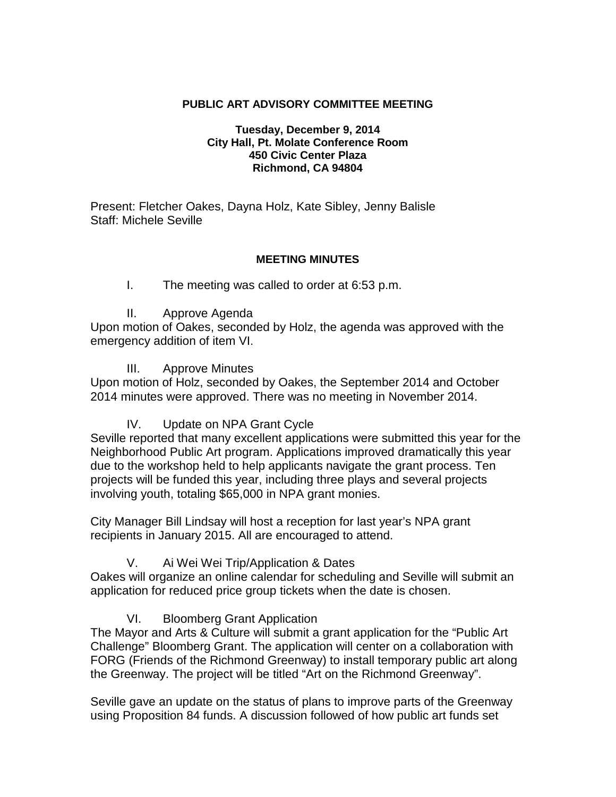### **PUBLIC ART ADVISORY COMMITTEE MEETING**

#### **Tuesday, December 9, 2014 City Hall, Pt. Molate Conference Room 450 Civic Center Plaza Richmond, CA 94804**

Present: Fletcher Oakes, Dayna Holz, Kate Sibley, Jenny Balisle Staff: Michele Seville

#### **MEETING MINUTES**

### I. The meeting was called to order at 6:53 p.m.

II. Approve Agenda

Upon motion of Oakes, seconded by Holz, the agenda was approved with the emergency addition of item VI.

III. Approve Minutes

Upon motion of Holz, seconded by Oakes, the September 2014 and October 2014 minutes were approved. There was no meeting in November 2014.

IV. Update on NPA Grant Cycle

Seville reported that many excellent applications were submitted this year for the Neighborhood Public Art program. Applications improved dramatically this year due to the workshop held to help applicants navigate the grant process. Ten projects will be funded this year, including three plays and several projects involving youth, totaling \$65,000 in NPA grant monies.

City Manager Bill Lindsay will host a reception for last year's NPA grant recipients in January 2015. All are encouraged to attend.

V. Ai Wei Wei Trip/Application & Dates

Oakes will organize an online calendar for scheduling and Seville will submit an application for reduced price group tickets when the date is chosen.

VI. Bloomberg Grant Application

The Mayor and Arts & Culture will submit a grant application for the "Public Art Challenge" Bloomberg Grant. The application will center on a collaboration with FORG (Friends of the Richmond Greenway) to install temporary public art along the Greenway. The project will be titled "Art on the Richmond Greenway".

Seville gave an update on the status of plans to improve parts of the Greenway using Proposition 84 funds. A discussion followed of how public art funds set